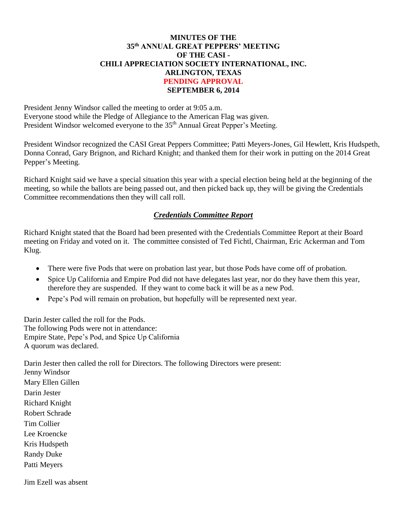#### **MINUTES OF THE 35th ANNUAL GREAT PEPPERS' MEETING OF THE CASI - CHILI APPRECIATION SOCIETY INTERNATIONAL, INC. ARLINGTON, TEXAS PENDING APPROVAL SEPTEMBER 6, 2014**

President Jenny Windsor called the meeting to order at 9:05 a.m. Everyone stood while the Pledge of Allegiance to the American Flag was given. President Windsor welcomed everyone to the 35<sup>th</sup> Annual Great Pepper's Meeting.

President Windsor recognized the CASI Great Peppers Committee; Patti Meyers-Jones, Gil Hewlett, Kris Hudspeth, Donna Conrad, Gary Brignon, and Richard Knight; and thanked them for their work in putting on the 2014 Great Pepper's Meeting.

Richard Knight said we have a special situation this year with a special election being held at the beginning of the meeting, so while the ballots are being passed out, and then picked back up, they will be giving the Credentials Committee recommendations then they will call roll.

## *Credentials Committee Report*

Richard Knight stated that the Board had been presented with the Credentials Committee Report at their Board meeting on Friday and voted on it. The committee consisted of Ted Fichtl, Chairman, Eric Ackerman and Tom Klug.

- There were five Pods that were on probation last year, but those Pods have come off of probation.
- Spice Up California and Empire Pod did not have delegates last year, nor do they have them this year, therefore they are suspended. If they want to come back it will be as a new Pod.
- Pepe's Pod will remain on probation, but hopefully will be represented next year.

Darin Jester called the roll for the Pods. The following Pods were not in attendance: Empire State, Pepe's Pod, and Spice Up California A quorum was declared.

Darin Jester then called the roll for Directors. The following Directors were present: Jenny Windsor Mary Ellen Gillen Darin Jester Richard Knight Robert Schrade Tim Collier Lee Kroencke Kris Hudspeth Randy Duke Patti Meyers

Jim Ezell was absent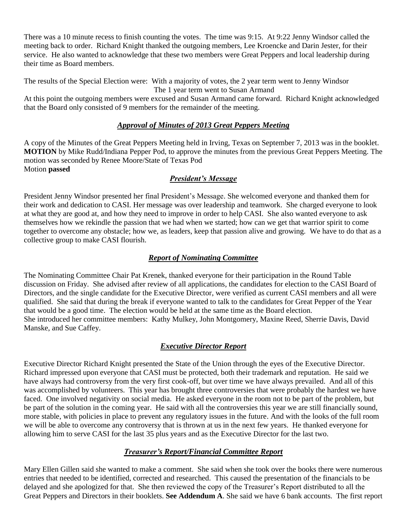There was a 10 minute recess to finish counting the votes. The time was 9:15. At 9:22 Jenny Windsor called the meeting back to order. Richard Knight thanked the outgoing members, Lee Kroencke and Darin Jester, for their service. He also wanted to acknowledge that these two members were Great Peppers and local leadership during their time as Board members.

The results of the Special Election were: With a majority of votes, the 2 year term went to Jenny Windsor The 1 year term went to Susan Armand

At this point the outgoing members were excused and Susan Armand came forward. Richard Knight acknowledged that the Board only consisted of 9 members for the remainder of the meeting.

## *Approval of Minutes of 2013 Great Peppers Meeting*

A copy of the Minutes of the Great Peppers Meeting held in Irving, Texas on September 7, 2013 was in the booklet. **MOTION** by Mike Rudd/Indiana Pepper Pod, to approve the minutes from the previous Great Peppers Meeting. The motion was seconded by Renee Moore/State of Texas Pod Motion **passed**

## *President's Message*

President Jenny Windsor presented her final President's Message. She welcomed everyone and thanked them for their work and dedication to CASI. Her message was over leadership and teamwork. She charged everyone to look at what they are good at, and how they need to improve in order to help CASI. She also wanted everyone to ask themselves how we rekindle the passion that we had when we started; how can we get that warrior spirit to come together to overcome any obstacle; how we, as leaders, keep that passion alive and growing. We have to do that as a collective group to make CASI flourish.

## *Report of Nominating Committee*

The Nominating Committee Chair Pat Krenek, thanked everyone for their participation in the Round Table discussion on Friday. She advised after review of all applications, the candidates for election to the CASI Board of Directors, and the single candidate for the Executive Director, were verified as current CASI members and all were qualified. She said that during the break if everyone wanted to talk to the candidates for Great Pepper of the Year that would be a good time. The election would be held at the same time as the Board election. She introduced her committee members: Kathy Mulkey, John Montgomery, Maxine Reed, Sherrie Davis, David Manske, and Sue Caffey.

## *Executive Director Report*

Executive Director Richard Knight presented the State of the Union through the eyes of the Executive Director. Richard impressed upon everyone that CASI must be protected, both their trademark and reputation. He said we have always had controversy from the very first cook-off, but over time we have always prevailed. And all of this was accomplished by volunteers. This year has brought three controversies that were probably the hardest we have faced. One involved negativity on social media. He asked everyone in the room not to be part of the problem, but be part of the solution in the coming year. He said with all the controversies this year we are still financially sound, more stable, with policies in place to prevent any regulatory issues in the future. And with the looks of the full room we will be able to overcome any controversy that is thrown at us in the next few years. He thanked everyone for allowing him to serve CASI for the last 35 plus years and as the Executive Director for the last two.

## *Treasurer's Report/Financial Committee Report*

Mary Ellen Gillen said she wanted to make a comment. She said when she took over the books there were numerous entries that needed to be identified, corrected and researched. This caused the presentation of the financials to be delayed and she apologized for that. She then reviewed the copy of the Treasurer's Report distributed to all the Great Peppers and Directors in their booklets. **See Addendum A**. She said we have 6 bank accounts. The first report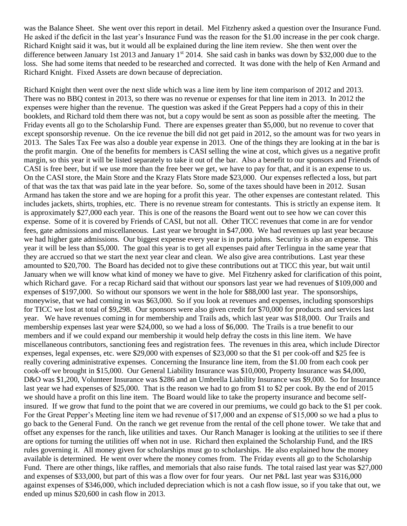was the Balance Sheet. She went over this report in detail. Mel Fitzhenry asked a question over the Insurance Fund. He asked if the deficit in the last year's Insurance Fund was the reason for the \$1.00 increase in the per cook charge. Richard Knight said it was, but it would all be explained during the line item review. She then went over the difference between January 1st 2013 and January 1<sup>st</sup> 2014. She said cash in banks was down by \$32,000 due to the loss. She had some items that needed to be researched and corrected. It was done with the help of Ken Armand and Richard Knight. Fixed Assets are down because of depreciation.

Richard Knight then went over the next slide which was a line item by line item comparison of 2012 and 2013. There was no BBQ contest in 2013, so there was no revenue or expenses for that line item in 2013. In 2012 the expenses were higher than the revenue. The question was asked if the Great Peppers had a copy of this in their booklets, and Richard told them there was not, but a copy would be sent as soon as possible after the meeting. The Friday events all go to the Scholarship Fund. There are expenses greater than \$5,000, but no revenue to cover that except sponsorship revenue. On the ice revenue the bill did not get paid in 2012, so the amount was for two years in 2013. The Sales Tax Fee was also a double year expense in 2013. One of the things they are looking at in the bar is the profit margin. One of the benefits for members is CASI selling the wine at cost, which gives us a negative profit margin, so this year it will be listed separately to take it out of the bar. Also a benefit to our sponsors and Friends of CASI is free beer, but if we use more than the free beer we get, we have to pay for that, and it is an expense to us. On the CASI store, the Main Store and the Krazy Flats Store made \$23,000. Our expenses reflected a loss, but part of that was the tax that was paid late in the year before. So, some of the taxes should have been in 2012. Susan Armand has taken the store and we are hoping for a profit this year. The other expenses are contestant related. This includes jackets, shirts, trophies, etc. There is no revenue stream for contestants. This is strictly an expense item. It is approximately \$27,000 each year. This is one of the reasons the Board went out to see how we can cover this expense. Some of it is covered by Friends of CASI, but not all. Other TICC revenues that come in are for vendor fees, gate admissions and miscellaneous. Last year we brought in \$47,000. We had revenues up last year because we had higher gate admissions. Our biggest expense every year is in porta johns. Security is also an expense. This year it will be less than \$5,000. The goal this year is to get all expenses paid after Terlingua in the same year that they are accrued so that we start the next year clear and clean. We also give area contributions. Last year these amounted to \$20,700. The Board has decided not to give these contributions out at TICC this year, but wait until January when we will know what kind of money we have to give. Mel Fitzhenry asked for clarification of this point, which Richard gave. For a recap Richard said that without our sponsors last year we had revenues of \$109,000 and expenses of \$197,000. So without our sponsors we went in the hole for \$88,000 last year. The sponsorships, moneywise, that we had coming in was \$63,000. So if you look at revenues and expenses, including sponsorships for TICC we lost at total of \$9,298. Our sponsors were also given credit for \$70,000 for products and services last year. We have revenues coming in for membership and Trails ads, which last year was \$18,000. Our Trails and membership expenses last year were \$24,000, so we had a loss of \$6,000. The Trails is a true benefit to our members and if we could expand our membership it would help defray the costs in this line item. We have miscellaneous contributors, sanctioning fees and registration fees. The revenues in this area, which include Director expenses, legal expenses, etc. were \$29,000 with expenses of \$23,000 so that the \$1 per cook-off and \$25 fee is really covering administrative expenses. Concerning the Insurance line item, from the \$1.00 from each cook per cook-off we brought in \$15,000. Our General Liability Insurance was \$10,000, Property Insurance was \$4,000, D&O was \$1,200, Volunteer Insurance was \$286 and an Umbrella Liability Insurance was \$9,000. So for Insurance last year we had expenses of \$25,000. That is the reason we had to go from \$1 to \$2 per cook. By the end of 2015 we should have a profit on this line item. The Board would like to take the property insurance and become selfinsured. If we grow that fund to the point that we are covered in our premiums, we could go back to the \$1 per cook. For the Great Pepper's Meeting line item we had revenue of \$17,000 and an expense of \$15,000 so we had a plus to go back to the General Fund. On the ranch we get revenue from the rental of the cell phone tower. We take that and offset any expenses for the ranch, like utilities and taxes. Our Ranch Manager is looking at the utilities to see if there are options for turning the utilities off when not in use. Richard then explained the Scholarship Fund, and the IRS rules governing it. All money given for scholarships must go to scholarships. He also explained how the money available is determined. He went over where the money comes from. The Friday events all go to the Scholarship Fund. There are other things, like raffles, and memorials that also raise funds. The total raised last year was \$27,000 and expenses of \$33,000, but part of this was a flow over for four years. Our net P&L last year was \$316,000 against expenses of \$346,000, which included depreciation which is not a cash flow issue, so if you take that out, we ended up minus \$20,600 in cash flow in 2013.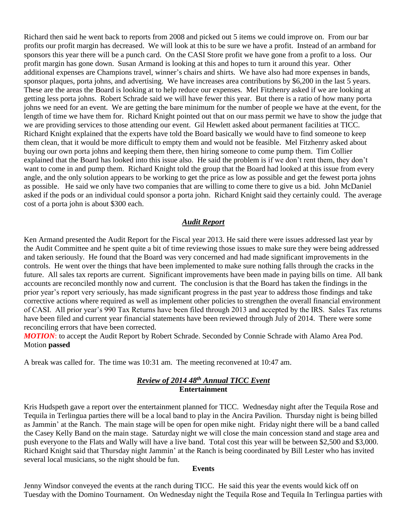Richard then said he went back to reports from 2008 and picked out 5 items we could improve on. From our bar profits our profit margin has decreased. We will look at this to be sure we have a profit. Instead of an armband for sponsors this year there will be a punch card. On the CASI Store profit we have gone from a profit to a loss. Our profit margin has gone down. Susan Armand is looking at this and hopes to turn it around this year. Other additional expenses are Champions travel, winner's chairs and shirts. We have also had more expenses in bands, sponsor plaques, porta johns, and advertising. We have increases area contributions by \$6,200 in the last 5 years. These are the areas the Board is looking at to help reduce our expenses. Mel Fitzhenry asked if we are looking at getting less porta johns. Robert Schrade said we will have fewer this year. But there is a ratio of how many porta johns we need for an event. We are getting the bare minimum for the number of people we have at the event, for the length of time we have them for. Richard Knight pointed out that on our mass permit we have to show the judge that we are providing services to those attending our event. Gil Hewlett asked about permanent facilities at TICC. Richard Knight explained that the experts have told the Board basically we would have to find someone to keep them clean, that it would be more difficult to empty them and would not be feasible. Mel Fitzhenry asked about buying our own porta johns and keeping them there, then hiring someone to come pump them. Tim Collier explained that the Board has looked into this issue also. He said the problem is if we don't rent them, they don't want to come in and pump them. Richard Knight told the group that the Board had looked at this issue from every angle, and the only solution appears to be working to get the price as low as possible and get the fewest porta johns as possible. He said we only have two companies that are willing to come there to give us a bid. John McDaniel asked if the pods or an individual could sponsor a porta john. Richard Knight said they certainly could. The average cost of a porta john is about \$300 each.

#### *Audit Report*

Ken Armand presented the Audit Report for the Fiscal year 2013. He said there were issues addressed last year by the Audit Committee and he spent quite a bit of time reviewing those issues to make sure they were being addressed and taken seriously. He found that the Board was very concerned and had made significant improvements in the controls. He went over the things that have been implemented to make sure nothing falls through the cracks in the future. All sales tax reports are current. Significant improvements have been made in paying bills on time. All bank accounts are reconciled monthly now and current. The conclusion is that the Board has taken the findings in the prior year's report very seriously, has made significant progress in the past year to address those findings and take corrective actions where required as well as implement other policies to strengthen the overall financial environment of CASI. All prior year's 990 Tax Returns have been filed through 2013 and accepted by the IRS. Sales Tax returns have been filed and current year financial statements have been reviewed through July of 2014. There were some reconciling errors that have been corrected.

**MOTION:** to accept the Audit Report by Robert Schrade. Seconded by Connie Schrade with Alamo Area Pod. Motion **passed**

A break was called for. The time was 10:31 am. The meeting reconvened at 10:47 am.

#### *Review of 2014 48th Annual TICC Event* **Entertainment**

Kris Hudspeth gave a report over the entertainment planned for TICC. Wednesday night after the Tequila Rose and Tequila in Terlingua parties there will be a local band to play in the Ancira Pavilion. Thursday night is being billed as Jammin' at the Ranch. The main stage will be open for open mike night. Friday night there will be a band called the Casey Kelly Band on the main stage. Saturday night we will close the main concession stand and stage area and push everyone to the Flats and Wally will have a live band. Total cost this year will be between \$2,500 and \$3,000. Richard Knight said that Thursday night Jammin' at the Ranch is being coordinated by Bill Lester who has invited several local musicians, so the night should be fun.

#### **Events**

Jenny Windsor conveyed the events at the ranch during TICC. He said this year the events would kick off on Tuesday with the Domino Tournament. On Wednesday night the Tequila Rose and Tequila In Terlingua parties with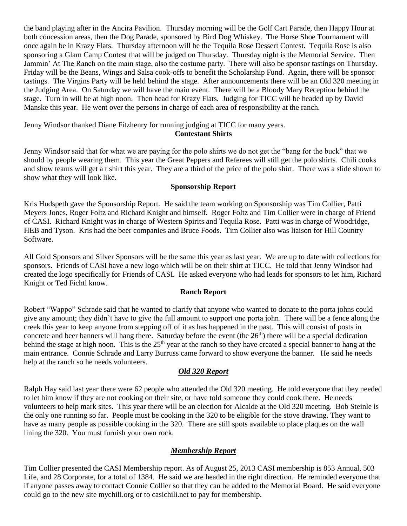the band playing after in the Ancira Pavilion. Thursday morning will be the Golf Cart Parade, then Happy Hour at both concession areas, then the Dog Parade, sponsored by Bird Dog Whiskey. The Horse Shoe Tournament will once again be in Krazy Flats. Thursday afternoon will be the Tequila Rose Dessert Contest. Tequila Rose is also sponsoring a Glam Camp Contest that will be judged on Thursday. Thursday night is the Memorial Service. Then Jammin' At The Ranch on the main stage, also the costume party. There will also be sponsor tastings on Thursday. Friday will be the Beans, Wings and Salsa cook-offs to benefit the Scholarship Fund. Again, there will be sponsor tastings. The Virgins Party will be held behind the stage. After announcements there will be an Old 320 meeting in the Judging Area. On Saturday we will have the main event. There will be a Bloody Mary Reception behind the stage. Turn in will be at high noon. Then head for Krazy Flats. Judging for TICC will be headed up by David Manske this year. He went over the persons in charge of each area of responsibility at the ranch.

Jenny Windsor thanked Diane Fitzhenry for running judging at TICC for many years.

#### **Contestant Shirts**

Jenny Windsor said that for what we are paying for the polo shirts we do not get the "bang for the buck" that we should by people wearing them. This year the Great Peppers and Referees will still get the polo shirts. Chili cooks and show teams will get a t shirt this year. They are a third of the price of the polo shirt. There was a slide shown to show what they will look like.

### **Sponsorship Report**

Kris Hudspeth gave the Sponsorship Report. He said the team working on Sponsorship was Tim Collier, Patti Meyers Jones, Roger Foltz and Richard Knight and himself. Roger Foltz and Tim Collier were in charge of Friend of CASI. Richard Knight was in charge of Western Spirits and Tequila Rose. Patti was in charge of Woodridge, HEB and Tyson. Kris had the beer companies and Bruce Foods. Tim Collier also was liaison for Hill Country Software.

All Gold Sponsors and Silver Sponsors will be the same this year as last year. We are up to date with collections for sponsors. Friends of CASI have a new logo which will be on their shirt at TICC. He told that Jenny Windsor had created the logo specifically for Friends of CASI. He asked everyone who had leads for sponsors to let him, Richard Knight or Ted Fichtl know.

## **Ranch Report**

Robert "Wappo" Schrade said that he wanted to clarify that anyone who wanted to donate to the porta johns could give any amount; they didn't have to give the full amount to support one porta john. There will be a fence along the creek this year to keep anyone from stepping off of it as has happened in the past. This will consist of posts in concrete and beer banners will hang there. Saturday before the event (the  $26<sup>th</sup>$ ) there will be a special dedication behind the stage at high noon. This is the  $25<sup>th</sup>$  year at the ranch so they have created a special banner to hang at the main entrance. Connie Schrade and Larry Burruss came forward to show everyone the banner. He said he needs help at the ranch so he needs volunteers.

## *Old 320 Report*

Ralph Hay said last year there were 62 people who attended the Old 320 meeting. He told everyone that they needed to let him know if they are not cooking on their site, or have told someone they could cook there. He needs volunteers to help mark sites. This year there will be an election for Alcalde at the Old 320 meeting. Bob Steinle is the only one running so far. People must be cooking in the 320 to be eligible for the stove drawing. They want to have as many people as possible cooking in the 320. There are still spots available to place plaques on the wall lining the 320. You must furnish your own rock.

## *Membership Report*

Tim Collier presented the CASI Membership report. As of August 25, 2013 CASI membership is 853 Annual, 503 Life, and 28 Corporate, for a total of 1384. He said we are headed in the right direction. He reminded everyone that if anyone passes away to contact Connie Collier so that they can be added to the Memorial Board. He said everyone could go to the new site mychili.org or to casichili.net to pay for membership.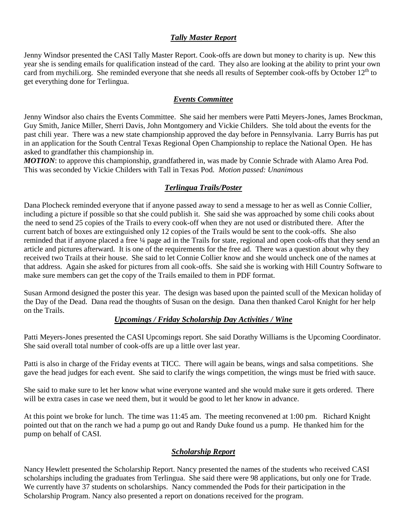### *Tally Master Report*

Jenny Windsor presented the CASI Tally Master Report. Cook-offs are down but money to charity is up. New this year she is sending emails for qualification instead of the card. They also are looking at the ability to print your own card from mychili.org. She reminded everyone that she needs all results of September cook-offs by October 12<sup>th</sup> to get everything done for Terlingua.

#### *Events Committee*

Jenny Windsor also chairs the Events Committee. She said her members were Patti Meyers-Jones, James Brockman, Guy Smith, Janice Miller, Sherri Davis, John Montgomery and Vickie Childers. She told about the events for the past chili year. There was a new state championship approved the day before in Pennsylvania. Larry Burris has put in an application for the South Central Texas Regional Open Championship to replace the National Open. He has asked to grandfather this championship in.

*MOTION*: to approve this championship, grandfathered in, was made by Connie Schrade with Alamo Area Pod. This was seconded by Vickie Childers with Tall in Texas Pod. *Motion passed: Unanimous* 

## *Terlingua Trails/Poster*

Dana Plocheck reminded everyone that if anyone passed away to send a message to her as well as Connie Collier, including a picture if possible so that she could publish it. She said she was approached by some chili cooks about the need to send 25 copies of the Trails to every cook-off when they are not used or distributed there. After the current batch of boxes are extinguished only 12 copies of the Trails would be sent to the cook-offs. She also reminded that if anyone placed a free ¼ page ad in the Trails for state, regional and open cook-offs that they send an article and pictures afterward. It is one of the requirements for the free ad. There was a question about why they received two Trails at their house. She said to let Connie Collier know and she would uncheck one of the names at that address. Again she asked for pictures from all cook-offs. She said she is working with Hill Country Software to make sure members can get the copy of the Trails emailed to them in PDF format.

Susan Armond designed the poster this year. The design was based upon the painted scull of the Mexican holiday of the Day of the Dead. Dana read the thoughts of Susan on the design. Dana then thanked Carol Knight for her help on the Trails.

## *Upcomings / Friday Scholarship Day Activities / Wine*

Patti Meyers-Jones presented the CASI Upcomings report. She said Dorathy Williams is the Upcoming Coordinator. She said overall total number of cook-offs are up a little over last year.

Patti is also in charge of the Friday events at TICC. There will again be beans, wings and salsa competitions. She gave the head judges for each event. She said to clarify the wings competition, the wings must be fried with sauce.

She said to make sure to let her know what wine everyone wanted and she would make sure it gets ordered. There will be extra cases in case we need them, but it would be good to let her know in advance.

At this point we broke for lunch. The time was 11:45 am. The meeting reconvened at 1:00 pm. Richard Knight pointed out that on the ranch we had a pump go out and Randy Duke found us a pump. He thanked him for the pump on behalf of CASI.

## *Scholarship Report*

Nancy Hewlett presented the Scholarship Report. Nancy presented the names of the students who received CASI scholarships including the graduates from Terlingua. She said there were 98 applications, but only one for Trade. We currently have 37 students on scholarships. Nancy commended the Pods for their participation in the Scholarship Program. Nancy also presented a report on donations received for the program.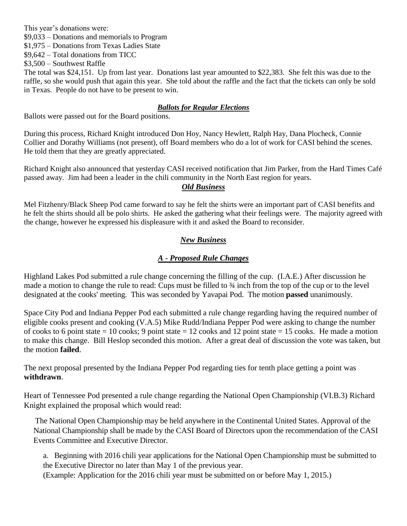This year's donations were:

\$9,033 – Donations and memorials to Program

\$1,975 – Donations from Texas Ladies State

\$9,642 – Total donations from TICC

\$3,500 – Southwest Raffle

The total was \$24,151. Up from last year. Donations last year amounted to \$22,383. She felt this was due to the raffle, so she would push that again this year. She told about the raffle and the fact that the tickets can only be sold in Texas. People do not have to be present to win.

## *Ballots for Regular Elections*

Ballots were passed out for the Board positions.

During this process, Richard Knight introduced Don Hoy, Nancy Hewlett, Ralph Hay, Dana Plocheck, Connie Collier and Dorathy Williams (not present), off Board members who do a lot of work for CASI behind the scenes. He told them that they are greatly appreciated.

Richard Knight also announced that yesterday CASI received notification that Jim Parker, from the Hard Times Café passed away. Jim had been a leader in the chili community in the North East region for years.

#### *Old Business*

Mel Fitzhenry/Black Sheep Pod came forward to say he felt the shirts were an important part of CASI benefits and he felt the shirts should all be polo shirts. He asked the gathering what their feelings were. The majority agreed with the change, however he expressed his displeasure with it and asked the Board to reconsider.

## *New Business*

## *A - Proposed Rule Changes*

Highland Lakes Pod submitted a rule change concerning the filling of the cup. (I.A.E.) After discussion he made a motion to change the rule to read: Cups must be filled to ¾ inch from the top of the cup or to the level designated at the cooks' meeting. This was seconded by Yavapai Pod. The motion **passed** unanimously.

Space City Pod and Indiana Pepper Pod each submitted a rule change regarding having the required number of eligible cooks present and cooking (V.A.5) Mike Rudd/Indiana Pepper Pod were asking to change the number of cooks to 6 point state = 10 cooks; 9 point state = 12 cooks and 12 point state = 15 cooks. He made a motion to make this change. Bill Heslop seconded this motion. After a great deal of discussion the vote was taken, but the motion **failed**.

The next proposal presented by the Indiana Pepper Pod regarding ties for tenth place getting a point was **withdrawn**.

Heart of Tennessee Pod presented a rule change regarding the National Open Championship (VI.B.3) Richard Knight explained the proposal which would read:

The National Open Championship may be held anywhere in the Continental United States. Approval of the National Championship shall be made by the CASI Board of Directors upon the recommendation of the CASI Events Committee and Executive Director.

 a. Beginning with 2016 chili year applications for the National Open Championship must be submitted to the Executive Director no later than May 1 of the previous year.

(Example: Application for the 2016 chili year must be submitted on or before May 1, 2015.)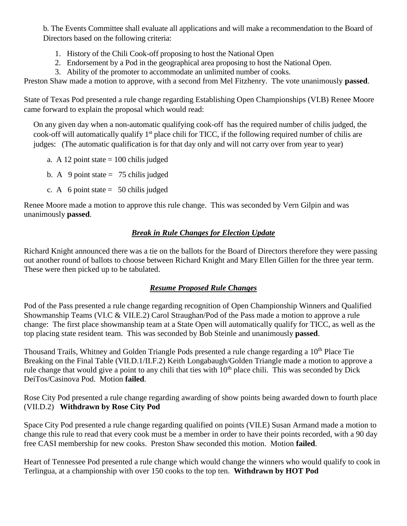b. The Events Committee shall evaluate all applications and will make a recommendation to the Board of Directors based on the following criteria:

- 1. History of the Chili Cook-off proposing to host the National Open
- 2. Endorsement by a Pod in the geographical area proposing to host the National Open.
- 3. Ability of the promoter to accommodate an unlimited number of cooks.

Preston Shaw made a motion to approve, with a second from Mel Fitzhenry. The vote unanimously **passed**.

State of Texas Pod presented a rule change regarding Establishing Open Championships (VI.B) Renee Moore came forward to explain the proposal which would read:

On any given day when a non-automatic qualifying cook-off has the required number of chilis judged, the cook-off will automatically qualify 1st place chili for TICC, if the following required number of chilis are judges: (The automatic qualification is for that day only and will not carry over from year to year)

- a. A 12 point state  $= 100$  chilis judged
- b. A 9 point state  $= 75$  chilis judged
- c. A 6 point state  $= 50$  chilis judged

Renee Moore made a motion to approve this rule change. This was seconded by Vern Gilpin and was unanimously **passed**.

## *Break in Rule Changes for Election Update*

Richard Knight announced there was a tie on the ballots for the Board of Directors therefore they were passing out another round of ballots to choose between Richard Knight and Mary Ellen Gillen for the three year term. These were then picked up to be tabulated.

# *Resume Proposed Rule Changes*

Pod of the Pass presented a rule change regarding recognition of Open Championship Winners and Qualified Showmanship Teams (VI.C & VII.E.2) Carol Straughan/Pod of the Pass made a motion to approve a rule change: The first place showmanship team at a State Open will automatically qualify for TICC, as well as the top placing state resident team. This was seconded by Bob Steinle and unanimously **passed**.

Thousand Trails, Whitney and Golden Triangle Pods presented a rule change regarding a 10<sup>th</sup> Place Tie Breaking on the Final Table (VII.D.1/II.F.2) Keith Longabaugh/Golden Triangle made a motion to approve a rule change that would give a point to any chili that ties with  $10<sup>th</sup>$  place chili. This was seconded by Dick DeiTos/Casinova Pod. Motion **failed**.

Rose City Pod presented a rule change regarding awarding of show points being awarded down to fourth place (VII.D.2) **Withdrawn by Rose City Pod**

Space City Pod presented a rule change regarding qualified on points (VII.E) Susan Armand made a motion to change this rule to read that every cook must be a member in order to have their points recorded, with a 90 day free CASI membership for new cooks. Preston Shaw seconded this motion. Motion **failed**.

Heart of Tennessee Pod presented a rule change which would change the winners who would qualify to cook in Terlingua, at a championship with over 150 cooks to the top ten. **Withdrawn by HOT Pod**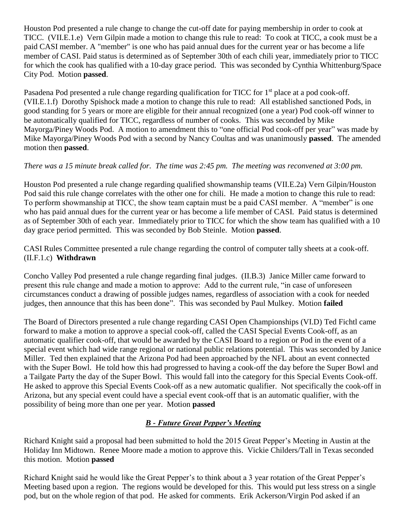Houston Pod presented a rule change to change the cut-off date for paying membership in order to cook at TICC. (VII.E.1.e) Vern Gilpin made a motion to change this rule to read: To cook at TICC, a cook must be a paid CASI member. A "member" is one who has paid annual dues for the current year or has become a life member of CASI. Paid status is determined as of September 30th of each chili year, immediately prior to TICC for which the cook has qualified with a 10-day grace period. This was seconded by Cynthia Whittenburg/Space City Pod. Motion **passed**.

Pasadena Pod presented a rule change regarding qualification for TICC for 1<sup>st</sup> place at a pod cook-off. (VII.E.1.f) Dorothy Spishock made a motion to change this rule to read: All established sanctioned Pods, in good standing for 5 years or more are eligible for their annual recognized (one a year) Pod cook-off winner to be automatically qualified for TICC, regardless of number of cooks. This was seconded by Mike Mayorga/Piney Woods Pod. A motion to amendment this to "one official Pod cook-off per year" was made by Mike Mayorga/Piney Woods Pod with a second by Nancy Coultas and was unanimously **passed**. The amended motion then **passed**.

## *There was a 15 minute break called for. The time was 2:45 pm. The meeting was reconvened at 3:00 pm.*

Houston Pod presented a rule change regarding qualified showmanship teams (VII.E.2a) Vern Gilpin/Houston Pod said this rule change correlates with the other one for chili. He made a motion to change this rule to read: To perform showmanship at TICC, the show team captain must be a paid CASI member. A "member" is one who has paid annual dues for the current year or has become a life member of CASI. Paid status is determined as of September 30th of each year. Immediately prior to TICC for which the show team has qualified with a 10 day grace period permitted. This was seconded by Bob Steinle. Motion **passed**.

CASI Rules Committee presented a rule change regarding the control of computer tally sheets at a cook-off. (II.F.1.c) **Withdrawn**

Concho Valley Pod presented a rule change regarding final judges. (II.B.3) Janice Miller came forward to present this rule change and made a motion to approve: Add to the current rule, "in case of unforeseen circumstances conduct a drawing of possible judges names, regardless of association with a cook for needed judges, then announce that this has been done". This was seconded by Paul Mulkey. Motion **failed**

The Board of Directors presented a rule change regarding CASI Open Championships (VI.D) Ted Fichtl came forward to make a motion to approve a special cook-off, called the CASI Special Events Cook-off, as an automatic qualifier cook-off, that would be awarded by the CASI Board to a region or Pod in the event of a special event which had wide range regional or national public relations potential. This was seconded by Janice Miller. Ted then explained that the Arizona Pod had been approached by the NFL about an event connected with the Super Bowl. He told how this had progressed to having a cook-off the day before the Super Bowl and a Tailgate Party the day of the Super Bowl. This would fall into the category for this Special Events Cook-off. He asked to approve this Special Events Cook-off as a new automatic qualifier. Not specifically the cook-off in Arizona, but any special event could have a special event cook-off that is an automatic qualifier, with the possibility of being more than one per year. Motion **passed**

## *B - Future Great Pepper's Meeting*

Richard Knight said a proposal had been submitted to hold the 2015 Great Pepper's Meeting in Austin at the Holiday Inn Midtown. Renee Moore made a motion to approve this. Vickie Childers/Tall in Texas seconded this motion. Motion **passed**

Richard Knight said he would like the Great Pepper's to think about a 3 year rotation of the Great Pepper's Meeting based upon a region. The regions would be developed for this. This would put less stress on a single pod, but on the whole region of that pod. He asked for comments. Erik Ackerson/Virgin Pod asked if an